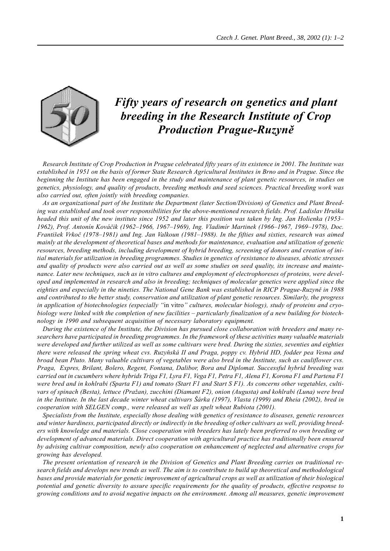

## *Fifty years of research on genetics and plant breeding in the Research Institute of Crop Production Prague-Ruzyně*

*Research Institute of Crop Production in Prague celebrated fifty years of its existence in 2001. The Institute was established in 1951 on the basis of former State Research Agricultural Institutes in Brno and in Prague. Since the beginning the Institute has been engaged in the study and maintenance of plant genetic resources, in studies on genetics, physiology, and quality of products, breeding methods and seed sciences. Practical breeding work was also carried out, often jointly with breeding companies.*

*As an organizational part of the Institute the Department (later Section/Division) of Genetics and Plant Breeding was established and took over responsibilities for the above-mentioned research fields. Prof. Ladislav Hruška headed this unit of the new institute since 1952 and later this position was taken by Ing. Jan Holienka (1953– 1962), Prof. Antonín Kováčik (1962–1966, 1967–1969), Ing. Vladimír Martinek (1966–1967, 1969–1978), Doc. František Vrkoč (1978–1981) and Ing. Jan Valkoun (1981–1988). In the fifties and sixties, research was aimed mainly at the development of theoretical bases and methods for maintenance, evaluation and utilization of genetic resources, breeding methods, including development of hybrid breeding, screening of donors and creation of initial materials for utilization in breeding programmes. Studies in genetics of resistance to diseases, abiotic stresses and quality of products were also carried out as well as some studies on seed quality, its increase and maintenance. Later new techniques, such as in vitro cultures and employment of electrophoreses of proteins, were developed and implemented in research and also in breeding; techniques of molecular genetics were applied since the eighties and especially in the nineties. The National Gene Bank was established in RICP Prague-Ruzyně in 1988 and contributed to the better study, conservation and utilization of plant genetic resources. Similarly, the progress in application of biotechnologies (especially "*in vitro*" cultures, molecular biology), study of proteins and cryobiology were linked with the completion of new facilities – particularly finalization of a new building for biotechnology in 1990 and subsequent acquisition of necessary laboratory equipment.*

*During the existence of the Institute, the Division has pursued close collaboration with breeders and many researchers have participated in breeding programmes. In the framework of these activities many valuable materials were developed and further utilized as well as some cultivars were bred. During the sixties, seventies and eighties there were released the spring wheat cvs. Ruzyňská II and Praga, poppy cv. Hybrid HD, fodder pea Vesna and broad bean Pluto. Many valuable cultivars of vegetables were also bred in the Institute, such as cauliflower cvs. Praga, Expres, Brilant, Bolero, Regent, Fontana, Dalibor, Bora and Diplomat. Successful hybrid breeding was carried out in cucumbers where hybrids Triga F1, Lyra F1, Vega F1, Petra F1, Alena F1, Korona F1 and Partena F1 were bred and in kohlrabi (Sparta F1) and tomato (Start F1 and Start S F1). As concerns other vegetables, cultivars of spinach (Besta), lettuce (Pražan), zucchini (Diamant F2), onion (Augusta) and kohlrabi (Luna) were bred in the Institute. In the last decade winter wheat cultivars Šárka (1997), Vlasta (1999) and Rheia (2002), bred in cooperation with SELGEN comp., were released as well as spelt wheat Rubiota (2001).*

*Specialists from the Institute, especially those dealing with genetics of resistance to diseases, genetic resources and winter hardiness, participated directly or indirectly in the breeding of other cultivars as well, providing breeders with knowledge and materials. Close cooperation with breeders has lately been preferred to own breeding or development of advanced materials. Direct cooperation with agricultural practice has traditionally been ensured by advising cultivar composition, newly also cooperation on enhancement of neglected and alternative crops for growing has developed.*

*The present orientation of research in the Division of Genetics and Plant Breeding carries on traditional research fields and develops new trends as well. The aim is to contribute to build up theoretical and methodological bases and provide materials for genetic improvement of agricultural crops as well as utilization of their biological potential and genetic diversity to assure specific requirements for the quality of products, effective response to growing conditions and to avoid negative impacts on the environment. Among all measures, genetic improvement*